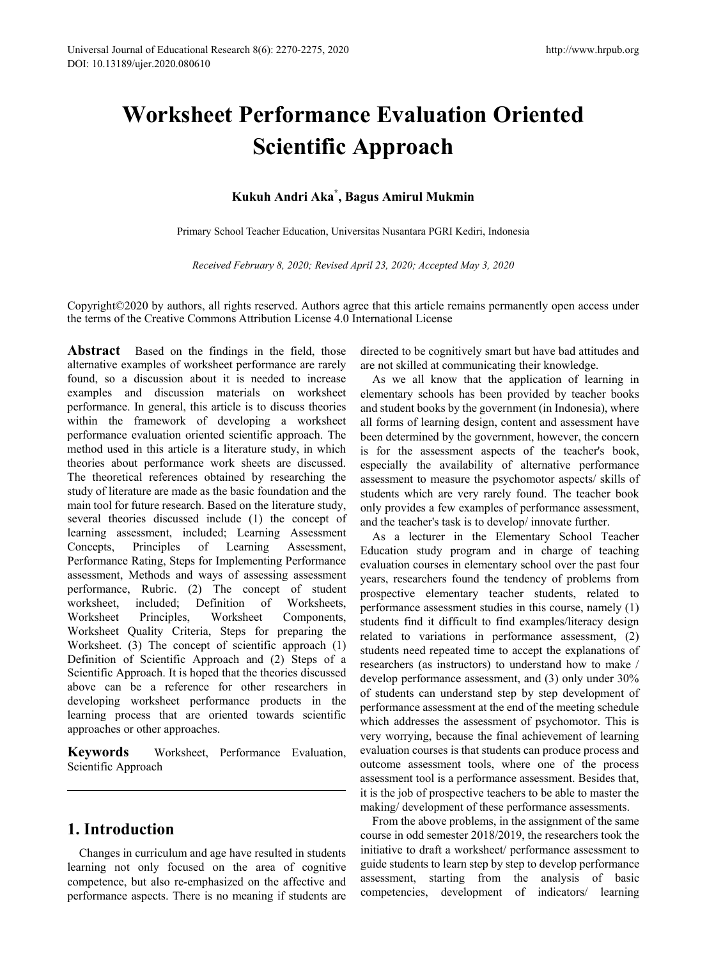# **Worksheet Performance Evaluation Oriented Scientific Approach**

## **Kukuh Andri Aka\* , Bagus Amirul Mukmin**

Primary School Teacher Education, Universitas Nusantara PGRI Kediri, Indonesia

*Received February 8, 2020; Revised April 23, 2020; Accepted May 3, 2020*

Copyright©2020 by authors, all rights reserved. Authors agree that this article remains permanently open access under the terms of the Creative Commons Attribution License 4.0 International License

Abstract Based on the findings in the field, those alternative examples of worksheet performance are rarely found, so a discussion about it is needed to increase examples and discussion materials on worksheet performance. In general, this article is to discuss theories within the framework of developing a worksheet performance evaluation oriented scientific approach. The method used in this article is a literature study, in which theories about performance work sheets are discussed. The theoretical references obtained by researching the study of literature are made as the basic foundation and the main tool for future research. Based on the literature study, several theories discussed include (1) the concept of learning assessment, included; Learning Assessment Concepts, Principles of Learning Assessment, Performance Rating, Steps for Implementing Performance assessment, Methods and ways of assessing assessment performance, Rubric. (2) The concept of student worksheet, included; Definition of Worksheets, Worksheet Principles, Worksheet Components, Worksheet Quality Criteria, Steps for preparing the Worksheet. (3) The concept of scientific approach (1) Definition of Scientific Approach and (2) Steps of a Scientific Approach. It is hoped that the theories discussed above can be a reference for other researchers in developing worksheet performance products in the learning process that are oriented towards scientific approaches or other approaches.

**Keywords** Worksheet, Performance Evaluation, Scientific Approach

# **1. Introduction**

Changes in curriculum and age have resulted in students learning not only focused on the area of cognitive competence, but also re-emphasized on the affective and performance aspects. There is no meaning if students are

directed to be cognitively smart but have bad attitudes and are not skilled at communicating their knowledge.

As we all know that the application of learning in elementary schools has been provided by teacher books and student books by the government (in Indonesia), where all forms of learning design, content and assessment have been determined by the government, however, the concern is for the assessment aspects of the teacher's book, especially the availability of alternative performance assessment to measure the psychomotor aspects/ skills of students which are very rarely found. The teacher book only provides a few examples of performance assessment, and the teacher's task is to develop/ innovate further.

As a lecturer in the Elementary School Teacher Education study program and in charge of teaching evaluation courses in elementary school over the past four years, researchers found the tendency of problems from prospective elementary teacher students, related to performance assessment studies in this course, namely (1) students find it difficult to find examples/literacy design related to variations in performance assessment, (2) students need repeated time to accept the explanations of researchers (as instructors) to understand how to make / develop performance assessment, and (3) only under 30% of students can understand step by step development of performance assessment at the end of the meeting schedule which addresses the assessment of psychomotor. This is very worrying, because the final achievement of learning evaluation courses is that students can produce process and outcome assessment tools, where one of the process assessment tool is a performance assessment. Besides that, it is the job of prospective teachers to be able to master the making/ development of these performance assessments.

From the above problems, in the assignment of the same course in odd semester 2018/2019, the researchers took the initiative to draft a worksheet/ performance assessment to guide students to learn step by step to develop performance assessment, starting from the analysis of basic competencies, development of indicators/ learning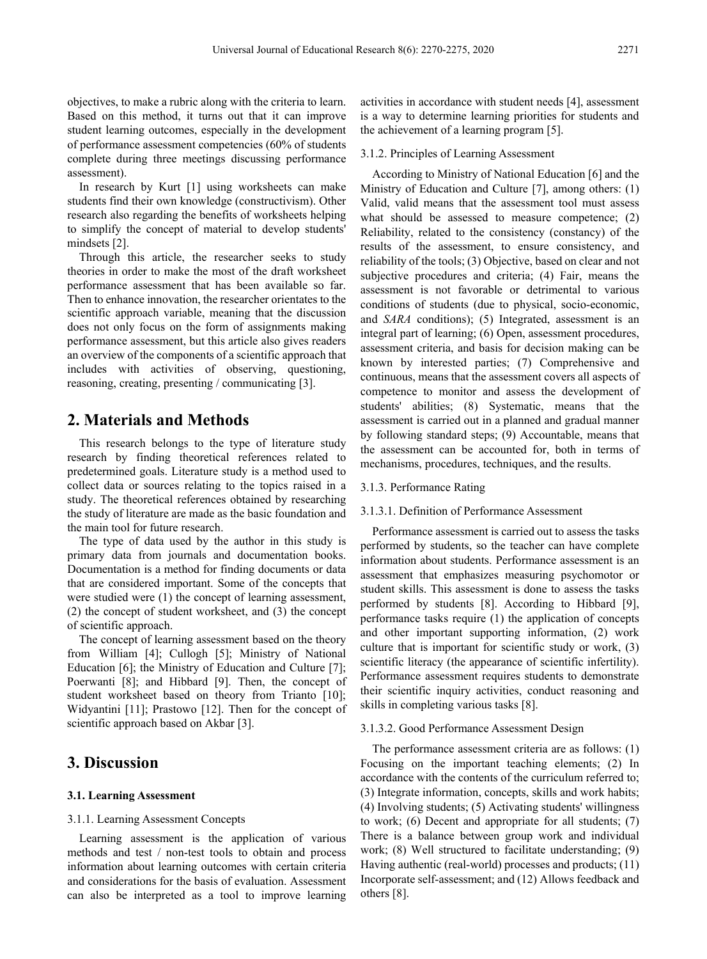objectives, to make a rubric along with the criteria to learn. Based on this method, it turns out that it can improve student learning outcomes, especially in the development of performance assessment competencies (60% of students complete during three meetings discussing performance assessment).

In research by Kurt [1] using worksheets can make students find their own knowledge (constructivism). Other research also regarding the benefits of worksheets helping to simplify the concept of material to develop students' mindsets [2].

Through this article, the researcher seeks to study theories in order to make the most of the draft worksheet performance assessment that has been available so far. Then to enhance innovation, the researcher orientates to the scientific approach variable, meaning that the discussion does not only focus on the form of assignments making performance assessment, but this article also gives readers an overview of the components of a scientific approach that includes with activities of observing, questioning, reasoning, creating, presenting / communicating [3].

## **2. Materials and Methods**

This research belongs to the type of literature study research by finding theoretical references related to predetermined goals. Literature study is a method used to collect data or sources relating to the topics raised in a study. The theoretical references obtained by researching the study of literature are made as the basic foundation and the main tool for future research.

The type of data used by the author in this study is primary data from journals and documentation books. Documentation is a method for finding documents or data that are considered important. Some of the concepts that were studied were (1) the concept of learning assessment, (2) the concept of student worksheet, and (3) the concept of scientific approach.

The concept of learning assessment based on the theory from William [4]; Cullogh [5]; Ministry of National Education [6]; the Ministry of Education and Culture [7]; Poerwanti [8]; and Hibbard [9]. Then, the concept of student worksheet based on theory from Trianto [10]; Widyantini [11]; Prastowo [12]. Then for the concept of scientific approach based on Akbar [3].

# **3. Discussion**

#### **3.1. Learning Assessment**

#### 3.1.1. Learning Assessment Concepts

Learning assessment is the application of various methods and test / non-test tools to obtain and process information about learning outcomes with certain criteria and considerations for the basis of evaluation. Assessment can also be interpreted as a tool to improve learning

activities in accordance with student needs [4], assessment is a way to determine learning priorities for students and the achievement of a learning program [5].

#### 3.1.2. Principles of Learning Assessment

According to Ministry of National Education [6] and the Ministry of Education and Culture [7], among others: (1) Valid, valid means that the assessment tool must assess what should be assessed to measure competence; (2) Reliability, related to the consistency (constancy) of the results of the assessment, to ensure consistency, and reliability of the tools; (3) Objective, based on clear and not subjective procedures and criteria; (4) Fair, means the assessment is not favorable or detrimental to various conditions of students (due to physical, socio-economic, and *SARA* conditions); (5) Integrated, assessment is an integral part of learning; (6) Open, assessment procedures, assessment criteria, and basis for decision making can be known by interested parties; (7) Comprehensive and continuous, means that the assessment covers all aspects of competence to monitor and assess the development of students' abilities; (8) Systematic, means that the assessment is carried out in a planned and gradual manner by following standard steps; (9) Accountable, means that the assessment can be accounted for, both in terms of mechanisms, procedures, techniques, and the results.

#### 3.1.3. Performance Rating

#### 3.1.3.1. Definition of Performance Assessment

Performance assessment is carried out to assess the tasks performed by students, so the teacher can have complete information about students. Performance assessment is an assessment that emphasizes measuring psychomotor or student skills. This assessment is done to assess the tasks performed by students [8]. According to Hibbard [9], performance tasks require (1) the application of concepts and other important supporting information, (2) work culture that is important for scientific study or work, (3) scientific literacy (the appearance of scientific infertility). Performance assessment requires students to demonstrate their scientific inquiry activities, conduct reasoning and skills in completing various tasks [8].

#### 3.1.3.2. Good Performance Assessment Design

The performance assessment criteria are as follows: (1) Focusing on the important teaching elements; (2) In accordance with the contents of the curriculum referred to; (3) Integrate information, concepts, skills and work habits; (4) Involving students; (5) Activating students' willingness to work; (6) Decent and appropriate for all students; (7) There is a balance between group work and individual work; (8) Well structured to facilitate understanding; (9) Having authentic (real-world) processes and products; (11) Incorporate self-assessment; and (12) Allows feedback and others [8].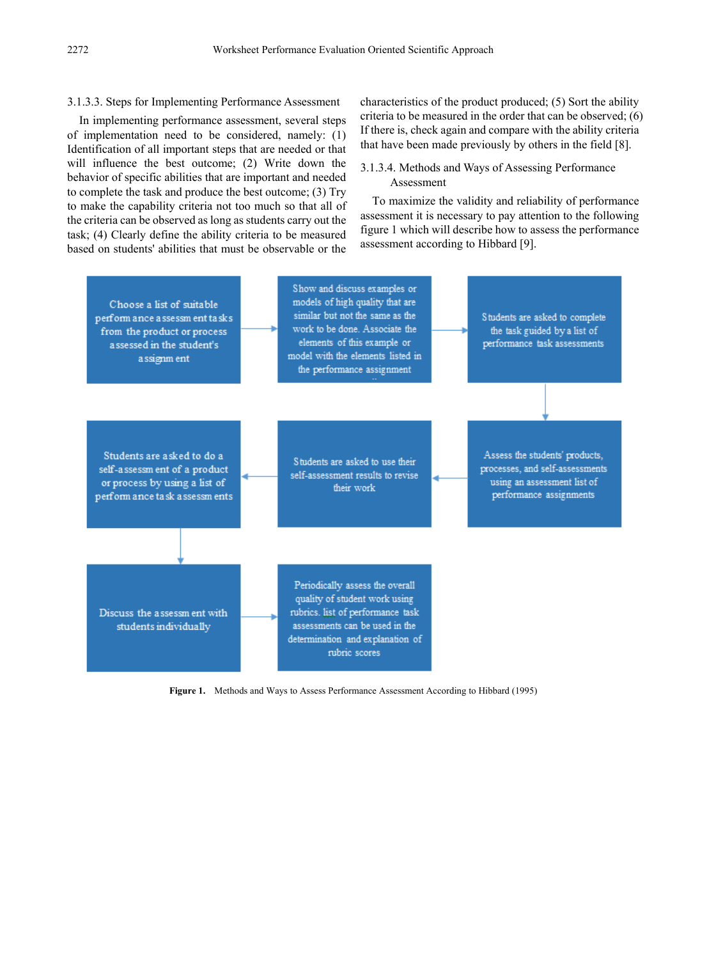#### 3.1.3.3. Steps for Implementing Performance Assessment

In implementing performance assessment, several steps of implementation need to be considered, namely: (1) Identification of all important steps that are needed or that will influence the best outcome; (2) Write down the behavior of specific abilities that are important and needed to complete the task and produce the best outcome; (3) Try to make the capability criteria not too much so that all of the criteria can be observed as long as students carry out the task; (4) Clearly define the ability criteria to be measured based on students' abilities that must be observable or the characteristics of the product produced; (5) Sort the ability criteria to be measured in the order that can be observed; (6) If there is, check again and compare with the ability criteria that have been made previously by others in the field [8].

#### 3.1.3.4. Methods and Ways of Assessing Performance Assessment

To maximize the validity and reliability of performance assessment it is necessary to pay attention to the following figure 1 which will describe how to assess the performance assessment according to Hibbard [9].



**Figure 1.** Methods and Ways to Assess Performance Assessment According to Hibbard (1995)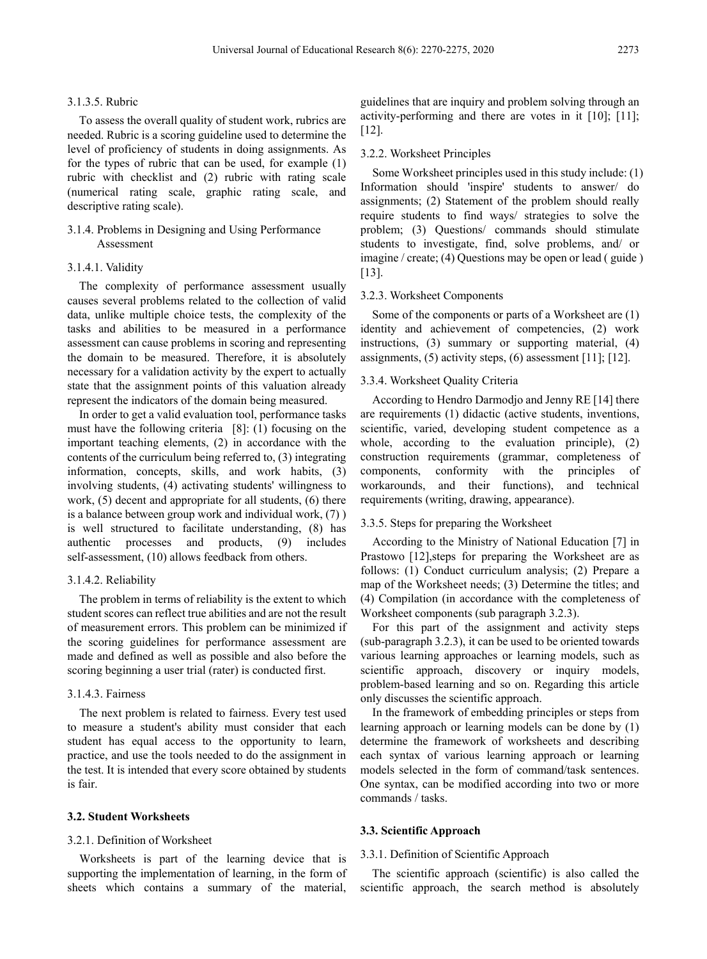#### 3.1.3.5. Rubric

To assess the overall quality of student work, rubrics are needed. Rubric is a scoring guideline used to determine the level of proficiency of students in doing assignments. As for the types of rubric that can be used, for example (1) rubric with checklist and (2) rubric with rating scale (numerical rating scale, graphic rating scale, and descriptive rating scale).

### 3.1.4. Problems in Designing and Using Performance Assessment

#### 3.1.4.1. Validity

The complexity of performance assessment usually causes several problems related to the collection of valid data, unlike multiple choice tests, the complexity of the tasks and abilities to be measured in a performance assessment can cause problems in scoring and representing the domain to be measured. Therefore, it is absolutely necessary for a validation activity by the expert to actually state that the assignment points of this valuation already represent the indicators of the domain being measured.

In order to get a valid evaluation tool, performance tasks must have the following criteria [8]: (1) focusing on the important teaching elements, (2) in accordance with the contents of the curriculum being referred to, (3) integrating information, concepts, skills, and work habits, (3) involving students, (4) activating students' willingness to work, (5) decent and appropriate for all students, (6) there is a balance between group work and individual work, (7) ) is well structured to facilitate understanding, (8) has authentic processes and products, (9) includes self-assessment, (10) allows feedback from others.

#### 3.1.4.2. Reliability

The problem in terms of reliability is the extent to which student scores can reflect true abilities and are not the result of measurement errors. This problem can be minimized if the scoring guidelines for performance assessment are made and defined as well as possible and also before the scoring beginning a user trial (rater) is conducted first.

#### 3.1.4.3. Fairness

The next problem is related to fairness. Every test used to measure a student's ability must consider that each student has equal access to the opportunity to learn, practice, and use the tools needed to do the assignment in the test. It is intended that every score obtained by students is fair.

#### **3.2. Student Worksheets**

#### 3.2.1. Definition of Worksheet

Worksheets is part of the learning device that is supporting the implementation of learning, in the form of sheets which contains a summary of the material,

guidelines that are inquiry and problem solving through an activity-performing and there are votes in it [10]; [11]; [12].

#### 3.2.2. Worksheet Principles

Some Worksheet principles used in this study include: (1) Information should 'inspire' students to answer/ do assignments; (2) Statement of the problem should really require students to find ways/ strategies to solve the problem; (3) Questions/ commands should stimulate students to investigate, find, solve problems, and/ or imagine / create; (4) Questions may be open or lead ( guide ) [13].

#### 3.2.3. Worksheet Components

Some of the components or parts of a Worksheet are (1) identity and achievement of competencies, (2) work instructions, (3) summary or supporting material, (4) assignments, (5) activity steps, (6) assessment [11]; [12].

#### 3.3.4. Worksheet Quality Criteria

According to Hendro Darmodjo and Jenny RE [14] there are requirements (1) didactic (active students, inventions, scientific, varied, developing student competence as a whole, according to the evaluation principle), (2) construction requirements (grammar, completeness of components, conformity with the principles of workarounds, and their functions), and technical requirements (writing, drawing, appearance).

#### 3.3.5. Steps for preparing the Worksheet

According to the Ministry of National Education [7] in Prastowo [12], steps for preparing the Worksheet are as follows: (1) Conduct curriculum analysis; (2) Prepare a map of the Worksheet needs; (3) Determine the titles; and (4) Compilation (in accordance with the completeness of Worksheet components (sub paragraph 3.2.3).

For this part of the assignment and activity steps (sub-paragraph 3.2.3), it can be used to be oriented towards various learning approaches or learning models, such as scientific approach, discovery or inquiry models, problem-based learning and so on. Regarding this article only discusses the scientific approach.

In the framework of embedding principles or steps from learning approach or learning models can be done by (1) determine the framework of worksheets and describing each syntax of various learning approach or learning models selected in the form of command/task sentences. One syntax, can be modified according into two or more commands / tasks.

#### **3.3. Scientific Approach**

#### 3.3.1. Definition of Scientific Approach

The scientific approach (scientific) is also called the scientific approach, the search method is absolutely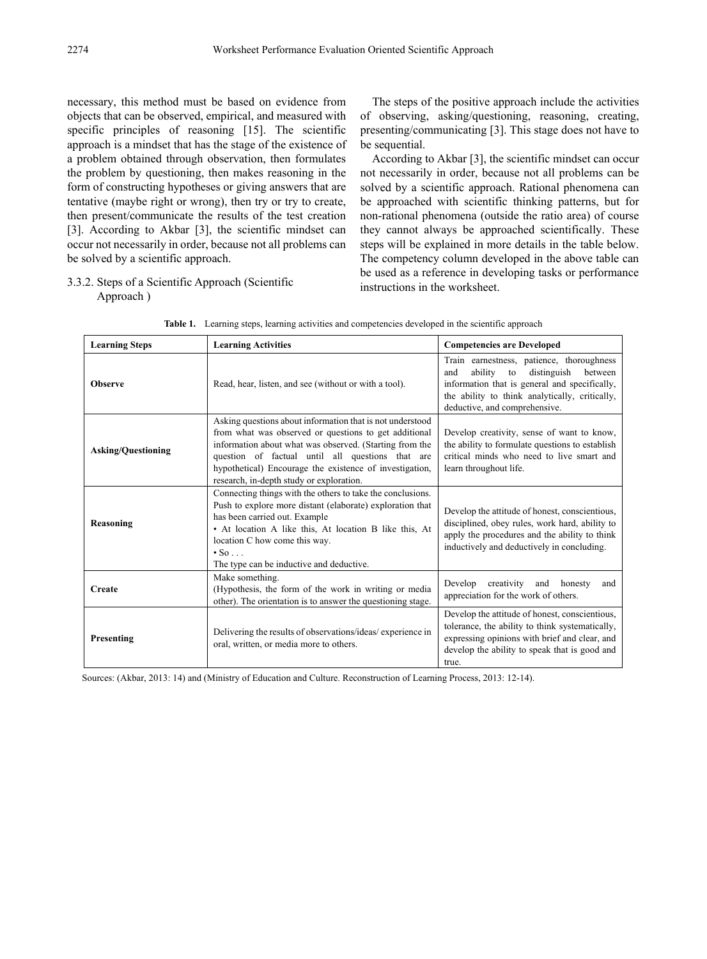necessary, this method must be based on evidence from objects that can be observed, empirical, and measured with specific principles of reasoning [15]. The scientific approach is a mindset that has the stage of the existence of a problem obtained through observation, then formulates the problem by questioning, then makes reasoning in the form of constructing hypotheses or giving answers that are tentative (maybe right or wrong), then try or try to create, then present/communicate the results of the test creation [3]. According to Akbar [3], the scientific mindset can occur not necessarily in order, because not all problems can be solved by a scientific approach.

## 3.3.2. Steps of a Scientific Approach (Scientific Approach )

The steps of the positive approach include the activities of observing, asking/questioning, reasoning, creating, presenting/communicating [3]. This stage does not have to be sequential.

According to Akbar [3], the scientific mindset can occur not necessarily in order, because not all problems can be solved by a scientific approach. Rational phenomena can be approached with scientific thinking patterns, but for non-rational phenomena (outside the ratio area) of course they cannot always be approached scientifically. These steps will be explained in more details in the table below. The competency column developed in the above table can be used as a reference in developing tasks or performance instructions in the worksheet.

| <b>Learning Steps</b>     | <b>Learning Activities</b>                                                                                                                                                                                                                                                                                                               | <b>Competencies are Developed</b>                                                                                                                                                                                               |  |  |
|---------------------------|------------------------------------------------------------------------------------------------------------------------------------------------------------------------------------------------------------------------------------------------------------------------------------------------------------------------------------------|---------------------------------------------------------------------------------------------------------------------------------------------------------------------------------------------------------------------------------|--|--|
| <b>Observe</b>            | Read, hear, listen, and see (without or with a tool).                                                                                                                                                                                                                                                                                    | Train earnestness, patience, thoroughness<br>ability<br>distinguish<br>between<br>to<br>and<br>information that is general and specifically,<br>the ability to think analytically, critically,<br>deductive, and comprehensive. |  |  |
| <b>Asking/Questioning</b> | Asking questions about information that is not understood<br>from what was observed or questions to get additional<br>information about what was observed. (Starting from the<br>question of factual until all questions that are<br>hypothetical) Encourage the existence of investigation,<br>research, in-depth study or exploration. | Develop creativity, sense of want to know,<br>the ability to formulate questions to establish<br>critical minds who need to live smart and<br>learn throughout life.                                                            |  |  |
| Reasoning                 | Connecting things with the others to take the conclusions.<br>Push to explore more distant (elaborate) exploration that<br>has been carried out. Example<br>• At location A like this, At location B like this, At<br>location C how come this way.<br>$\cdot$ So $\cdot$<br>The type can be inductive and deductive.                    | Develop the attitude of honest, conscientious,<br>disciplined, obey rules, work hard, ability to<br>apply the procedures and the ability to think<br>inductively and deductively in concluding.                                 |  |  |
| <b>Create</b>             | Make something.<br>(Hypothesis, the form of the work in writing or media<br>other). The orientation is to answer the questioning stage.                                                                                                                                                                                                  | creativity and honesty<br>Develop<br>and<br>appreciation for the work of others.                                                                                                                                                |  |  |
| Presenting                | Delivering the results of observations/ideas/experience in<br>oral, written, or media more to others.                                                                                                                                                                                                                                    | Develop the attitude of honest, conscientious,<br>tolerance, the ability to think systematically,<br>expressing opinions with brief and clear, and<br>develop the ability to speak that is good and<br>true.                    |  |  |

|  |  |  |  |  | <b>Table 1.</b> Learning steps, learning activities and competencies developed in the scientific approach |
|--|--|--|--|--|-----------------------------------------------------------------------------------------------------------|
|--|--|--|--|--|-----------------------------------------------------------------------------------------------------------|

Sources: (Akbar, 2013: 14) and (Ministry of Education and Culture. Reconstruction of Learning Process, 2013: 12-14).